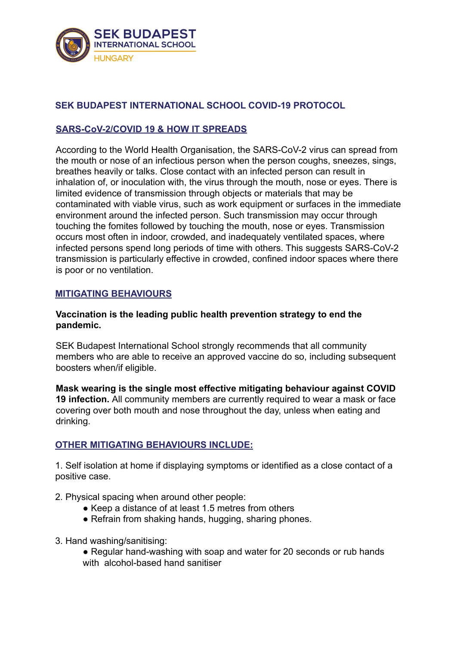

## **SEK BUDAPEST INTERNATIONAL SCHOOL COVID-19 PROTOCOL**

## **SARS-CoV-2/COVID 19 & HOW IT SPREADS**

According to the World Health Organisation, the SARS-CoV-2 virus can spread from the mouth or nose of an infectious person when the person coughs, sneezes, sings, breathes heavily or talks. Close contact with an infected person can result in inhalation of, or inoculation with, the virus through the mouth, nose or eyes. There is limited evidence of transmission through objects or materials that may be contaminated with viable virus, such as work equipment or surfaces in the immediate environment around the infected person. Such transmission may occur through touching the fomites followed by touching the mouth, nose or eyes. Transmission occurs most often in indoor, crowded, and inadequately ventilated spaces, where infected persons spend long periods of time with others. This suggests SARS-CoV-2 transmission is particularly effective in crowded, confined indoor spaces where there is poor or no ventilation.

### **MITIGATING BEHAVIOURS**

### **Vaccination is the leading public health prevention strategy to end the pandemic.**

SEK Budapest International School strongly recommends that all community members who are able to receive an approved vaccine do so, including subsequent boosters when/if eligible.

**Mask wearing is the single most effective mitigating behaviour against COVID 19 infection.** All community members are currently required to wear a mask or face covering over both mouth and nose throughout the day, unless when eating and drinking.

### **OTHER MITIGATING BEHAVIOURS INCLUDE:**

1. Self isolation at home if displaying symptoms or identified as a close contact of a positive case.

- 2. Physical spacing when around other people:
	- Keep a distance of at least 1.5 metres from others
	- Refrain from shaking hands, hugging, sharing phones.
- 3. Hand washing/sanitising:
	- Regular hand-washing with soap and water for 20 seconds or rub hands with alcohol-based hand sanitiser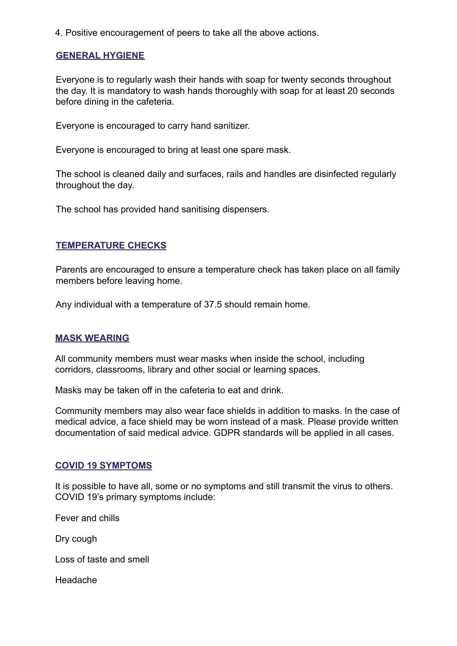4. Positive encouragement of peers to take all the above actions.

### **GENERAL HYGIENE**

Everyone is to regularly wash their hands with soap for twenty seconds throughout the day. It is mandatory to wash hands thoroughly with soap for at least 20 seconds before dining in the cafeteria.

Everyone is encouraged to carry hand sanitizer.

Everyone is encouraged to bring at least one spare mask.

The school is cleaned daily and surfaces, rails and handles are disinfected regularly throughout the day.

The school has provided hand sanitising dispensers.

### **TEMPERATURE CHECKS**

Parents are encouraged to ensure a temperature check has taken place on all family members before leaving home.

Any individual with a temperature of 37.5 should remain home.

### **MASK WEARING**

All community members must wear masks when inside the school, including corridors, classrooms, library and other social or learning spaces.

Masks may be taken off in the cafeteria to eat and drink.

Community members may also wear face shields in addition to masks. In the case of medical advice, a face shield may be worn instead of a mask. Please provide written documentation of said medical advice. GDPR standards will be applied in all cases.

#### **COVID 19 SYMPTOMS**

It is possible to have all, some or no symptoms and still transmit the virus to others. COVID 19's primary symptoms include:

Fever and chills

Dry cough

Loss of taste and smell

Headache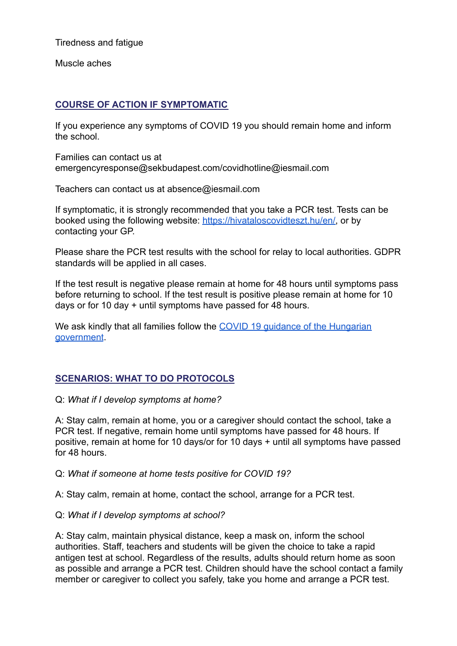Tiredness and fatigue

Muscle aches

## **COURSE OF ACTION IF SYMPTOMATIC**

If you experience any symptoms of COVID 19 you should remain home and inform the school.

Families can contact us at emergencyresponse@sekbudapest.com/covidhotline@iesmail.com

Teachers can contact us at absence@iesmail.com

If symptomatic, it is strongly recommended that you take a PCR test. Tests can be booked using the following website: [https://hivataloscovidteszt.hu/en/,](https://hivataloscovidteszt.hu/en/) or by contacting your GP.

Please share the PCR test results with the school for relay to local authorities. GDPR standards will be applied in all cases.

If the test result is negative please remain at home for 48 hours until symptoms pass before returning to school. If the test result is positive please remain at home for 10 days or for 10 day + until symptoms have passed for 48 hours.

We ask kindly that all families follow the COVID 19 quidance of the Hungarian [government](https://konzuliszolgalat.kormany.hu/tajekoztato-a-magyar-allampolgarok-magyarorszagra-torteno-hazateresenek-rendkivuli-szabalyairol-a-covid-19-jarvany-miatt).

# **SCENARIOS: WHAT TO DO PROTOCOLS**

### Q: *What if I develop symptoms at home?*

A: Stay calm, remain at home, you or a caregiver should contact the school, take a PCR test. If negative, remain home until symptoms have passed for 48 hours. If positive, remain at home for 10 days/or for 10 days + until all symptoms have passed for 48 hours.

Q: *What if someone at home tests positive for COVID 19?*

A: Stay calm, remain at home, contact the school, arrange for a PCR test.

## Q: *What if I develop symptoms at school?*

A: Stay calm, maintain physical distance, keep a mask on, inform the school authorities. Staff, teachers and students will be given the choice to take a rapid antigen test at school. Regardless of the results, adults should return home as soon as possible and arrange a PCR test. Children should have the school contact a family member or caregiver to collect you safely, take you home and arrange a PCR test.